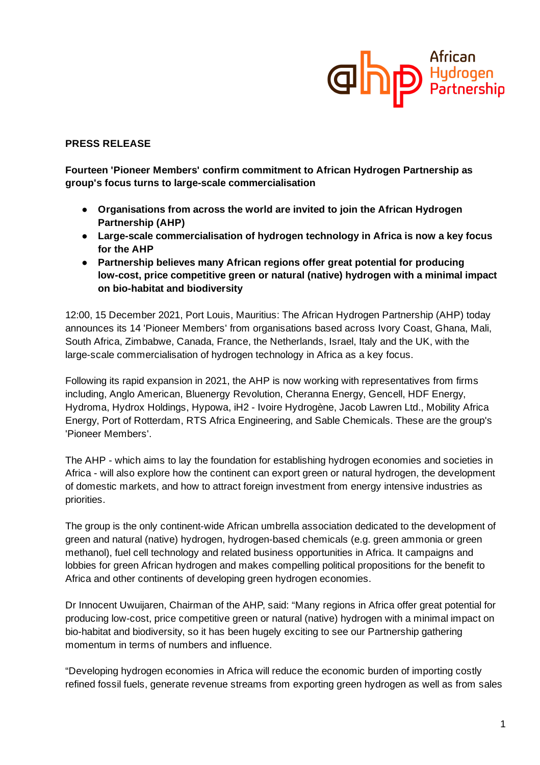

## **PRESS RELEASE**

**Fourteen 'Pioneer Members' confirm commitment to African Hydrogen Partnership as group's focus turns to large-scale commercialisation**

- **● Organisations from across the world are invited to join the African Hydrogen Partnership (AHP)**
- **● Large-scale commercialisation of hydrogen technology in Africa is now a key focus for the AHP**
- **● Partnership believes many African regions offer great potential for producing low-cost, price competitive green or natural (native) hydrogen with a minimal impact on bio-habitat and biodiversity**

12:00, 15 December 2021, Port Louis, Mauritius: The African Hydrogen Partnership (AHP) today announces its 14 'Pioneer Members' from organisations based across Ivory Coast, Ghana, Mali, South Africa, Zimbabwe, Canada, France, the Netherlands, Israel, Italy and the UK, with the large-scale commercialisation of hydrogen technology in Africa as a key focus.

Following its rapid expansion in 2021, the AHP is now working with representatives from firms including, Anglo American, Bluenergy Revolution, Cheranna Energy, Gencell, HDF Energy, Hydroma, Hydrox Holdings, Hypowa, iH2 - Ivoire Hydrogène, Jacob Lawren Ltd., Mobility Africa Energy, Port of Rotterdam, RTS Africa Engineering, and Sable Chemicals. These are the group's 'Pioneer Members'.

The AHP - which aims to lay the foundation for establishing hydrogen economies and societies in Africa - will also explore how the continent can export green or natural hydrogen, the development of domestic markets, and how to attract foreign investment from energy intensive industries as priorities.

The group is the only continent-wide African umbrella association dedicated to the development of green and natural (native) hydrogen, hydrogen-based chemicals (e.g. green ammonia or green methanol), fuel cell technology and related business opportunities in Africa. It campaigns and lobbies for green African hydrogen and makes compelling political propositions for the benefit to Africa and other continents of developing green hydrogen economies.

Dr Innocent Uwuijaren, Chairman of the AHP, said: "Many regions in Africa offer great potential for producing low-cost, price competitive green or natural (native) hydrogen with a minimal impact on bio-habitat and biodiversity, so it has been hugely exciting to see our Partnership gathering momentum in terms of numbers and influence.

"Developing hydrogen economies in Africa will reduce the economic burden of importing costly refined fossil fuels, generate revenue streams from exporting green hydrogen as well as from sales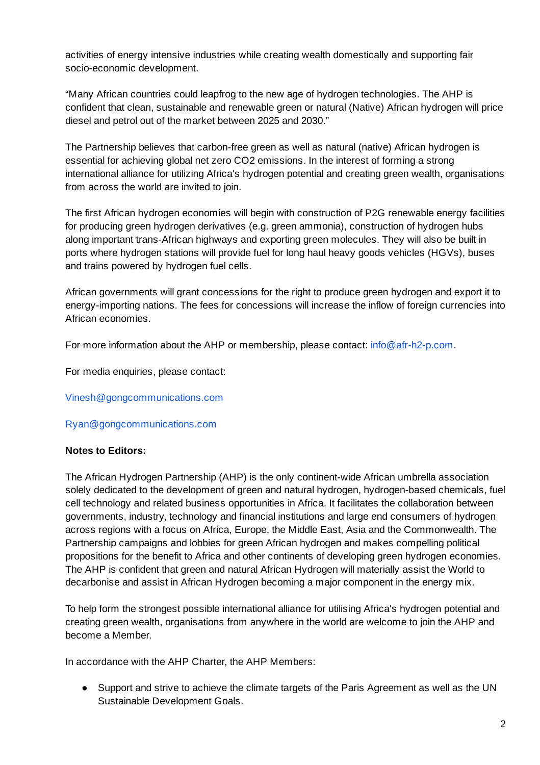activities of energy intensive industries while creating wealth domestically and supporting fair socio-economic development.

"Many African countries could leapfrog to the new age of hydrogen technologies. The AHP is confident that clean, sustainable and renewable green or natural (Native) African hydrogen will price diesel and petrol out of the market between 2025 and 2030."

The Partnership believes that carbon-free green as well as natural (native) African hydrogen is essential for achieving global net zero CO2 emissions. In the interest of forming a strong international alliance for utilizing Africa's hydrogen potential and creating green wealth, organisations from across the world are invited to join.

The first African hydrogen economies will begin with construction of P2G renewable energy facilities for producing green hydrogen derivatives (e.g. green ammonia), construction of hydrogen hubs along important trans-African highways and exporting green molecules. They will also be built in ports where hydrogen stations will provide fuel for long haul heavy goods vehicles (HGVs), buses and trains powered by hydrogen fuel cells.

African governments will grant concessions for the right to produce green hydrogen and export it to energy-importing nations. The fees for concessions will increase the inflow of foreign currencies into African economies.

For more information about the AHP or membership, please contact: [info@afr-h2-p.com.](mailto:info@afr-h2-p.com)

For media enquiries, please contact:

[Vinesh@gongcommunications.com](mailto:Vinesh@gongcommunications.com)

## [Ryan@gongcommunications.com](mailto:Ryan@gongcommunications.com)

## **Notes to Editors:**

The African Hydrogen Partnership (AHP) is the only continent-wide African umbrella association solely dedicated to the development of green and natural hydrogen, hydrogen-based chemicals, fuel cell technology and related business opportunities in Africa. It facilitates the collaboration between governments, industry, technology and financial institutions and large end consumers of hydrogen across regions with a focus on Africa, Europe, the Middle East, Asia and the Commonwealth. The Partnership campaigns and lobbies for green African hydrogen and makes compelling political propositions for the benefit to Africa and other continents of developing green hydrogen economies. The AHP is confident that green and natural African Hydrogen will materially assist the World to decarbonise and assist in African Hydrogen becoming a major component in the energy mix.

To help form the strongest possible international alliance for utilising Africa's hydrogen potential and creating green wealth, organisations from anywhere in the world are welcome to join the AHP and become a Member.

In accordance with the AHP Charter, the AHP Members:

• Support and strive to achieve the climate targets of the Paris Agreement as well as the UN Sustainable Development Goals.